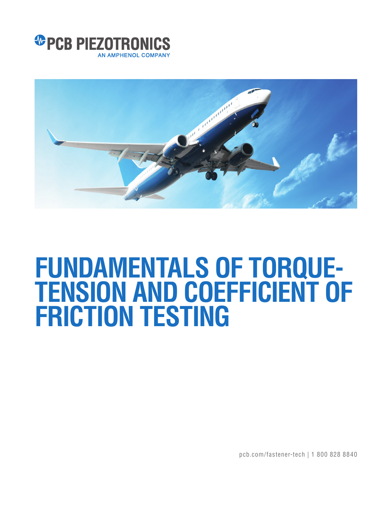



# **FUNDAMENTALS OF TORQUE-TENSION AND COEFFICIENT OF FRICTION TESTING**

pcb.com/fastener-tech | 1 800 828 8840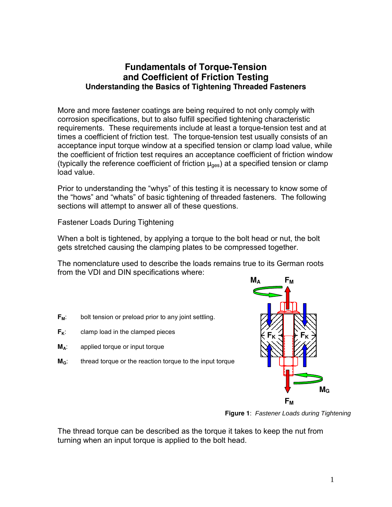# **Fundamentals of Torque-Tension and Coefficient of Friction Testing Understanding the Basics of Tightening Threaded Fasteners**

More and more fastener coatings are being required to not only comply with corrosion specifications, but to also fulfill specified tightening characteristic requirements. These requirements include at least a torque-tension test and at times a coefficient of friction test. The torque-tension test usually consists of an acceptance input torque window at a specified tension or clamp load value, while the coefficient of friction test requires an acceptance coefficient of friction window (typically the reference coefficient of friction  $\mu_{\text{des}}$ ) at a specified tension or clamp load value.

Prior to understanding the "whys" of this testing it is necessary to know some of the "hows" and "whats" of basic tightening of threaded fasteners. The following sections will attempt to answer all of these questions.

Fastener Loads During Tightening

When a bolt is tightened, by applying a torque to the bolt head or nut, the bolt gets stretched causing the clamping plates to be compressed together.

The nomenclature used to describe the loads remains true to its German roots from the VDI and DIN specifications where:

- **F<sub>M</sub>**: bolt tension or preload prior to any joint settling.
- $F_k$ : clamp load in the clamped pieces
- **MA**: applied torque or input torque
- **M<sub>G</sub>**: thread torque or the reaction torque to the input torque



**Figure 1**: Fastener Loads during Tightening

The thread torque can be described as the torque it takes to keep the nut from turning when an input torque is applied to the bolt head.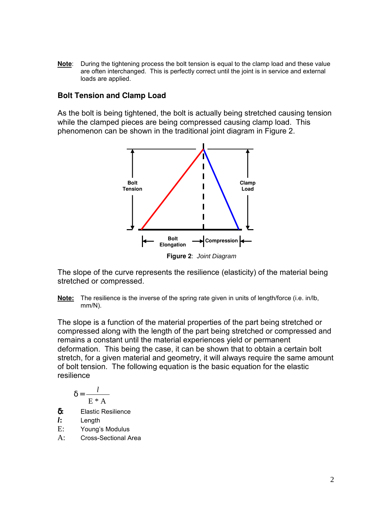**Note**: During the tightening process the bolt tension is equal to the clamp load and these value are often interchanged. This is perfectly correct until the joint is in service and external loads are applied.

## **Bolt Tension and Clamp Load**

As the bolt is being tightened, the bolt is actually being stretched causing tension while the clamped pieces are being compressed causing clamp load. This phenomenon can be shown in the traditional joint diagram in Figure 2.



**Figure 2**: Joint Diagram

The slope of the curve represents the resilience (elasticity) of the material being stretched or compressed.

**Note:** The resilience is the inverse of the spring rate given in units of length/force (i.e. in/lb, mm/N).

The slope is a function of the material properties of the part being stretched or compressed along with the length of the part being stretched or compressed and remains a constant until the material experiences yield or permanent deformation. This being the case, it can be shown that to obtain a certain bolt stretch, for a given material and geometry, it will always require the same amount of bolt tension. The following equation is the basic equation for the elastic resilience

$$
\delta = \frac{l}{E*A}
$$

δ**:** Elastic Resilience

*l***:** Length

- E: Young's Modulus
- A: Cross-Sectional Area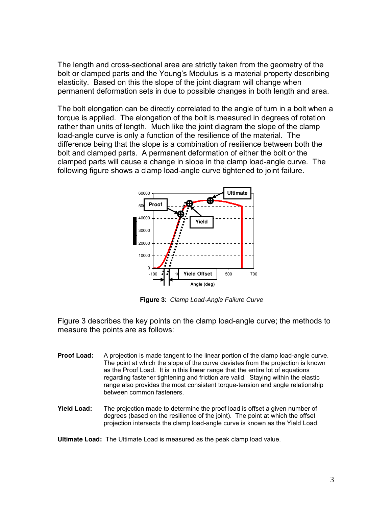The length and cross-sectional area are strictly taken from the geometry of the bolt or clamped parts and the Young's Modulus is a material property describing elasticity. Based on this the slope of the joint diagram will change when permanent deformation sets in due to possible changes in both length and area.

The bolt elongation can be directly correlated to the angle of turn in a bolt when a torque is applied. The elongation of the bolt is measured in degrees of rotation rather than units of length. Much like the joint diagram the slope of the clamp load-angle curve is only a function of the resilience of the material. The difference being that the slope is a combination of resilience between both the bolt and clamped parts. A permanent deformation of either the bolt or the clamped parts will cause a change in slope in the clamp load-angle curve. The following figure shows a clamp load-angle curve tightened to joint failure.



**Figure 3**: Clamp Load-Angle Failure Curve

Figure 3 describes the key points on the clamp load-angle curve; the methods to measure the points are as follows:

- **Proof Load:** A projection is made tangent to the linear portion of the clamp load-angle curve. The point at which the slope of the curve deviates from the projection is known as the Proof Load. It is in this linear range that the entire lot of equations regarding fastener tightening and friction are valid. Staying within the elastic range also provides the most consistent torque-tension and angle relationship between common fasteners.
- **Yield Load:** The projection made to determine the proof load is offset a given number of degrees (based on the resilience of the joint). The point at which the offset projection intersects the clamp load-angle curve is known as the Yield Load.

**Ultimate Load:** The Ultimate Load is measured as the peak clamp load value.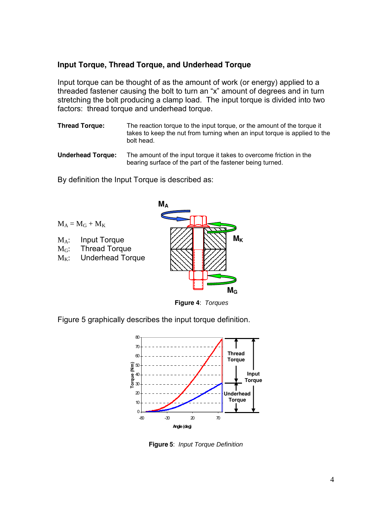# **Input Torque, Thread Torque, and Underhead Torque**

Input torque can be thought of as the amount of work (or energy) applied to a threaded fastener causing the bolt to turn an "x" amount of degrees and in turn stretching the bolt producing a clamp load. The input torque is divided into two factors: thread torque and underhead torque.

- **Thread Torque:** The reaction torque to the input torque, or the amount of the torque it takes to keep the nut from turning when an input torque is applied to the bolt head.
- **Underhead Torque:** The amount of the input torque it takes to overcome friction in the bearing surface of the part of the fastener being turned.

By definition the Input Torque is described as:





Figure 5 graphically describes the input torque definition.



**Figure 5**: Input Torque Definition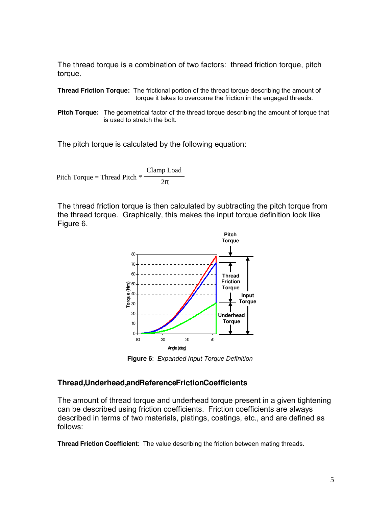The thread torque is a combination of two factors: thread friction torque, pitch torque.

**Thread Friction Torque:** The frictional portion of the thread torque describing the amount of torque it takes to overcome the friction in the engaged threads.

**Pitch Torque:** The geometrical factor of the thread torque describing the amount of torque that is used to stretch the bolt.

The pitch torque is calculated by the following equation:

Pitch Torque = Thread Pitch \* Clamp Load 2π

The thread friction torque is then calculated by subtracting the pitch torque from the thread torque. Graphically, this makes the input torque definition look like Figure 6.



**Figure 6**: Expanded Input Torque Definition

## **Thread,Underhead,andReferenceFrictionCoefficients**

The amount of thread torque and underhead torque present in a given tightening can be described using friction coefficients. Friction coefficients are always described in terms of two materials, platings, coatings, etc., and are defined as follows:

**Thread Friction Coefficient**: The value describing the friction between mating threads.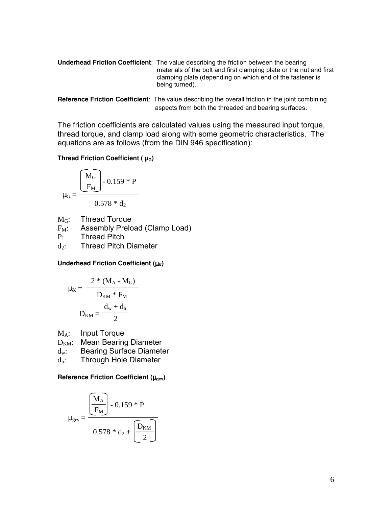**Underhead Friction Coefficient**: The value describing the friction between the bearing materials of the bolt and first clamping plate or the nut and first clamping plate (depending on which end of the fastener is being turned).

```
Reference Friction Coefficient: The value describing the overall friction in the joint combining 
                       aspects from both the threaded and bearing surfaces.
```
The friction coefficients are calculated values using the measured input torque, thread torque, and clamp load along with some geometric characteristics. The equations are as follows (from the DIN 946 specification):

#### **Thread Friction Coefficient (** $\mu$ **<sup>G</sup>)**

$$
\mu_G = \frac{\left[\frac{M_G}{F_M}\right] - 0.159 \cdot P}{0.578 \cdot d_2}
$$

 $M<sub>G</sub>$ : Thread Torque

 $F_M$ : Assembly Preload (Clamp Load)

P: Thread Pitch

 $d_2$ : Thread Pitch Diameter

#### **Underhead Friction Coefficient (**µ**K)**

$$
\mu_K = \dfrac{2 * (M_A - M_G)}{D_{KM} * F_M}
$$

$$
D_{KM} = \dfrac{d_w + d_h}{2}
$$

MA: Input Torque

 $D_{KM}$ : Mean Bearing Diameter

- dw: Bearing Surface Diameter
- dh: Through Hole Diameter

#### **Reference Friction Coefficient (**µ**ges)**

$$
\mu_{\text{ges}} = \frac{\left[\overline{M_A}\right] - 0.159 \cdot P}{0.578 \cdot d_2 + \left[\overline{D_{KM}}\right]}
$$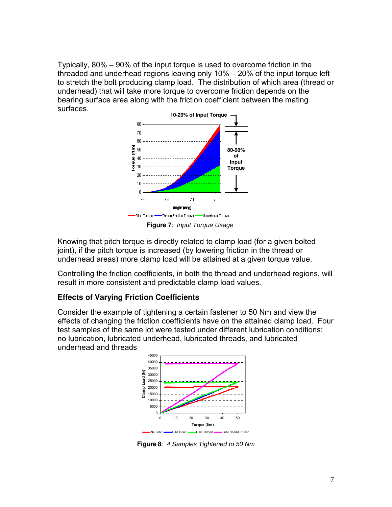Typically, 80% – 90% of the input torque is used to overcome friction in the threaded and underhead regions leaving only 10% – 20% of the input torque left to stretch the bolt producing clamp load. The distribution of which area (thread or underhead) that will take more torque to overcome friction depends on the bearing surface area along with the friction coefficient between the mating surfaces.



**Figure 7**: Input Torque Usage

Knowing that pitch torque is directly related to clamp load (for a given bolted joint), if the pitch torque is increased (by lowering friction in the thread or underhead areas) more clamp load will be attained at a given torque value.

Controlling the friction coefficients, in both the thread and underhead regions, will result in more consistent and predictable clamp load values.

# **Effects of Varying Friction Coefficients**

Consider the example of tightening a certain fastener to 50 Nm and view the effects of changing the friction coefficients have on the attained clamp load. Four test samples of the same lot were tested under different lubrication conditions: no lubrication, lubricated underhead, lubricated threads, and lubricated underhead and threads



**Figure 8**: 4 Samples Tightened to 50 Nm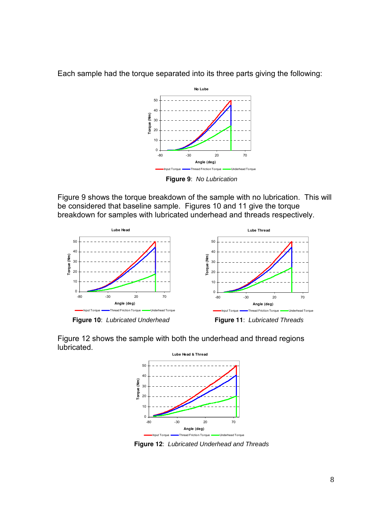

Each sample had the torque separated into its three parts giving the following:

**Figure 9**: No Lubrication

Figure 9 shows the torque breakdown of the sample with no lubrication. This will be considered that baseline sample. Figures 10 and 11 give the torque breakdown for samples with lubricated underhead and threads respectively.



**Figure 10**: Lubricated Underhead **Figure 11**: Lubricated Threads

Figure 12 shows the sample with both the underhead and thread regions lubricated.



**Figure 12**: Lubricated Underhead and Threads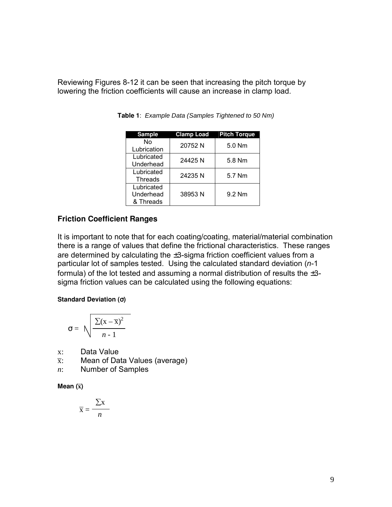Reviewing Figures 8-12 it can be seen that increasing the pitch torque by lowering the friction coefficients will cause an increase in clamp load.

| <b>Sample</b>                        | <b>Clamp Load</b> | <b>Pitch Torque</b> |
|--------------------------------------|-------------------|---------------------|
| N٥<br>Lubrication                    | 20752N            | $5.0$ Nm            |
| Lubricated<br>Underhead              | 24425N            | 5.8 Nm              |
| Lubricated<br>Threads                | 24235 N           | 5.7 Nm              |
| Lubricated<br>Underhead<br>& Threads | 38953N            | 9.2 Nm              |

**Table 1**: Example Data (Samples Tightened to 50 Nm)

# **Friction Coefficient Ranges**

It is important to note that for each coating/coating, material/material combination there is a range of values that define the frictional characteristics. These ranges are determined by calculating the ±3-sigma friction coefficient values from a particular lot of samples tested. Using the calculated standard deviation  $(n-1)$ formula) of the lot tested and assuming a normal distribution of results the  $\pm 3$ sigma friction values can be calculated using the following equations:

#### **Standard Deviation (**σ**)**

$$
\sigma = \sqrt{\frac{\sum (x - \overline{x})^2}{n-1}}
$$

- x: Data Value
- $\bar{x}$ : Mean of Data Values (average)
- *n*: Number of Samples

**Mean (x)**

$$
\overline{\mathbf{x}} = \frac{\sum \mathbf{x}}{n}
$$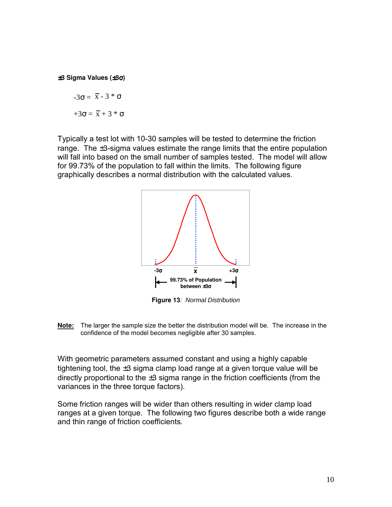±**3 Sigma Values (**±**3**σ**)**

$$
-3\sigma = \bar{x} - 3 * \sigma
$$

$$
+3\sigma = \bar{x} + 3 * \sigma
$$

Typically a test lot with 10-30 samples will be tested to determine the friction range. The  $\pm 3$ -sigma values estimate the range limits that the entire population will fall into based on the small number of samples tested. The model will allow for 99.73% of the population to fall within the limits. The following figure graphically describes a normal distribution with the calculated values.



**Figure 13**: Normal Distribution

**Note:** The larger the sample size the better the distribution model will be. The increase in the confidence of the model becomes negligible after 30 samples.

With geometric parameters assumed constant and using a highly capable tightening tool, the  $\pm 3$  sigma clamp load range at a given torque value will be directly proportional to the  $\pm 3$  sigma range in the friction coefficients (from the variances in the three torque factors).

Some friction ranges will be wider than others resulting in wider clamp load ranges at a given torque. The following two figures describe both a wide range and thin range of friction coefficients.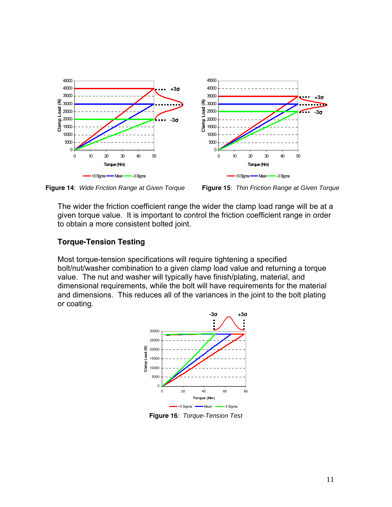

**Figure 14**: Wide Friction Range at Given Torque **Figure 15**: Thin Friction Range at Given Torque

The wider the friction coefficient range the wider the clamp load range will be at a given torque value. It is important to control the friction coefficient range in order to obtain a more consistent bolted joint.

# **Torque-Tension Testing**

Most torque-tension specifications will require tightening a specified bolt/nut/washer combination to a given clamp load value and returning a torque value. The nut and washer will typically have finish/plating, material, and dimensional requirements, while the bolt will have requirements for the material and dimensions. This reduces all of the variances in the joint to the bolt plating or coating.



**Figure 16**: Torque-Tension Test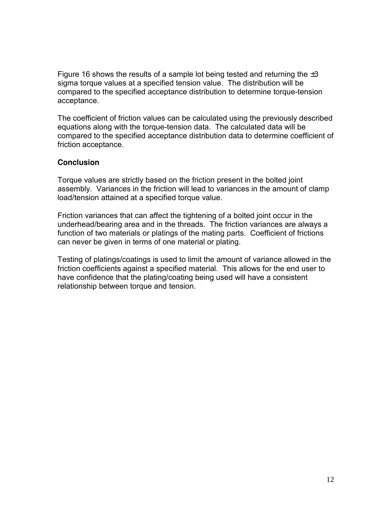Figure 16 shows the results of a sample lot being tested and returning the  $\pm 3$ sigma torque values at a specified tension value. The distribution will be compared to the specified acceptance distribution to determine torque-tension acceptance.

The coefficient of friction values can be calculated using the previously described equations along with the torque-tension data. The calculated data will be compared to the specified acceptance distribution data to determine coefficient of friction acceptance.

## **Conclusion**

Torque values are strictly based on the friction present in the bolted joint assembly. Variances in the friction will lead to variances in the amount of clamp load/tension attained at a specified torque value.

Friction variances that can affect the tightening of a bolted joint occur in the underhead/bearing area and in the threads. The friction variances are always a function of two materials or platings of the mating parts. Coefficient of frictions can never be given in terms of one material or plating.

Testing of platings/coatings is used to limit the amount of variance allowed in the friction coefficients against a specified material. This allows for the end user to have confidence that the plating/coating being used will have a consistent relationship between torque and tension.